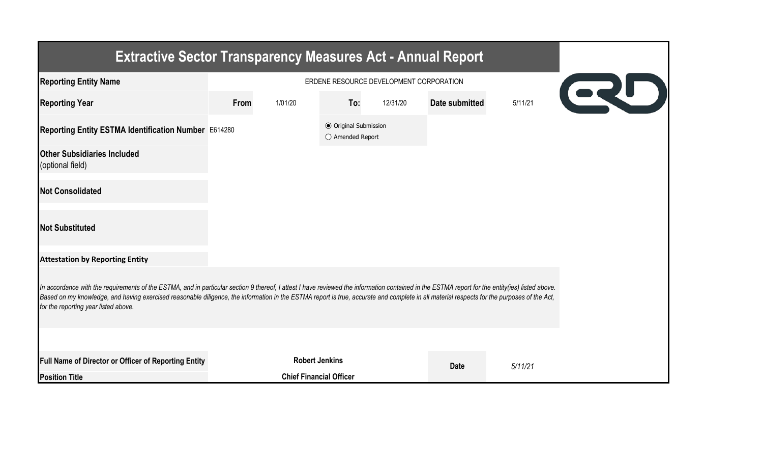| <b>Extractive Sector Transparency Measures Act - Annual Report</b>                                                                                                                                                                                                                                                                                                                                                                    |                                               |                                |                                                  |          |                |         |  |  |
|---------------------------------------------------------------------------------------------------------------------------------------------------------------------------------------------------------------------------------------------------------------------------------------------------------------------------------------------------------------------------------------------------------------------------------------|-----------------------------------------------|--------------------------------|--------------------------------------------------|----------|----------------|---------|--|--|
| <b>Reporting Entity Name</b>                                                                                                                                                                                                                                                                                                                                                                                                          | ERDENE RESOURCE DEVELOPMENT CORPORATION<br>QU |                                |                                                  |          |                |         |  |  |
| <b>Reporting Year</b>                                                                                                                                                                                                                                                                                                                                                                                                                 | From                                          | 1/01/20                        | To:                                              | 12/31/20 | Date submitted | 5/11/21 |  |  |
| Reporting Entity ESTMA Identification Number E614280                                                                                                                                                                                                                                                                                                                                                                                  |                                               |                                | <b>◎</b> Original Submission<br>○ Amended Report |          |                |         |  |  |
| <b>Other Subsidiaries Included</b><br>(optional field)                                                                                                                                                                                                                                                                                                                                                                                |                                               |                                |                                                  |          |                |         |  |  |
| <b>Not Consolidated</b>                                                                                                                                                                                                                                                                                                                                                                                                               |                                               |                                |                                                  |          |                |         |  |  |
| <b>Not Substituted</b>                                                                                                                                                                                                                                                                                                                                                                                                                |                                               |                                |                                                  |          |                |         |  |  |
| <b>Attestation by Reporting Entity</b>                                                                                                                                                                                                                                                                                                                                                                                                |                                               |                                |                                                  |          |                |         |  |  |
| In accordance with the requirements of the ESTMA, and in particular section 9 thereof, I attest I have reviewed the information contained in the ESTMA report for the entity(ies) listed above.<br>Based on my knowledge, and having exercised reasonable diligence, the information in the ESTMA report is true, accurate and complete in all material respects for the purposes of the Act,<br>for the reporting year listed above. |                                               |                                |                                                  |          |                |         |  |  |
|                                                                                                                                                                                                                                                                                                                                                                                                                                       |                                               |                                |                                                  |          |                |         |  |  |
| Full Name of Director or Officer of Reporting Entity                                                                                                                                                                                                                                                                                                                                                                                  |                                               | <b>Robert Jenkins</b>          |                                                  |          | <b>Date</b>    | 5/11/21 |  |  |
| <b>Position Title</b>                                                                                                                                                                                                                                                                                                                                                                                                                 |                                               | <b>Chief Financial Officer</b> |                                                  |          |                |         |  |  |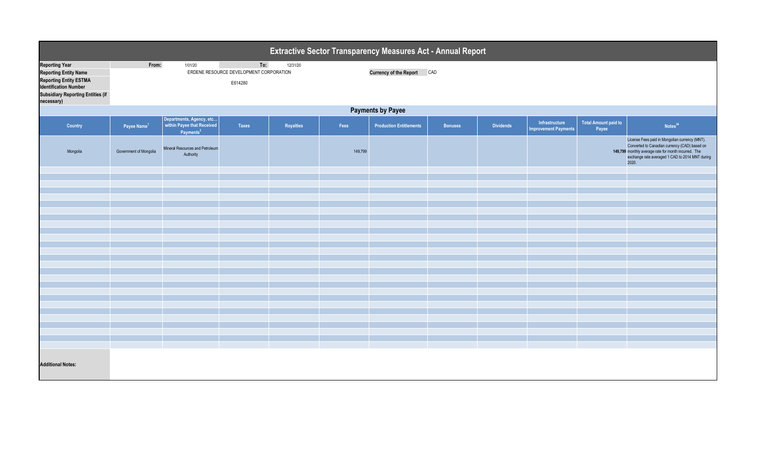| Extractive Sector Transparency Measures Act - Annual Report                                                                                                                      |                          |                                                                                 |                                                           |           |         |                                |                |                  |                                               |                                      |                                                                                                                                                                                                                     |  |
|----------------------------------------------------------------------------------------------------------------------------------------------------------------------------------|--------------------------|---------------------------------------------------------------------------------|-----------------------------------------------------------|-----------|---------|--------------------------------|----------------|------------------|-----------------------------------------------|--------------------------------------|---------------------------------------------------------------------------------------------------------------------------------------------------------------------------------------------------------------------|--|
| <b>Reporting Year</b><br><b>Reporting Entity Name</b><br><b>Reporting Entity ESTMA</b><br><b>Identification Number</b><br><b>Subsidiary Reporting Entities (if</b><br>necessary) | From:                    | 1/01/20                                                                         | To:<br>ERDENE RESOURCE DEVELOPMENT CORPORATION<br>E614280 | 12/31/20  |         | <b>Currency of the Report</b>  | CAD            |                  |                                               |                                      |                                                                                                                                                                                                                     |  |
|                                                                                                                                                                                  | <b>Payments by Payee</b> |                                                                                 |                                                           |           |         |                                |                |                  |                                               |                                      |                                                                                                                                                                                                                     |  |
| Country                                                                                                                                                                          | Payee Name <sup>1</sup>  | Departments, Agency, etc<br>within Payee that Received<br>Payments <sup>2</sup> | Taxes                                                     | Royalties | Fees    | <b>Production Entitlements</b> | <b>Bonuses</b> | <b>Dividends</b> | Infrastructure<br><b>Improvement Payments</b> | <b>Total Amount paid to</b><br>Payee | Notes <sup>34</sup>                                                                                                                                                                                                 |  |
| Mongolia                                                                                                                                                                         | Government of Mongolia   | Mineral Resources and Petroleum<br>Authority                                    |                                                           |           | 149,799 |                                |                |                  |                                               |                                      | License Fees paid in Mongolian currency (MNT).<br>Converted to Canadian currency (CAD) based on<br>149,799 monthly average rate for month incurred. The<br>exchange rate averaged 1 CAD to 2014 MNT during<br>2020. |  |
|                                                                                                                                                                                  |                          |                                                                                 |                                                           |           |         |                                |                |                  |                                               |                                      |                                                                                                                                                                                                                     |  |
|                                                                                                                                                                                  |                          |                                                                                 |                                                           |           |         |                                |                |                  |                                               |                                      |                                                                                                                                                                                                                     |  |
|                                                                                                                                                                                  |                          |                                                                                 |                                                           |           |         |                                |                |                  |                                               |                                      |                                                                                                                                                                                                                     |  |
|                                                                                                                                                                                  |                          |                                                                                 |                                                           |           |         |                                |                |                  |                                               |                                      |                                                                                                                                                                                                                     |  |
|                                                                                                                                                                                  |                          |                                                                                 |                                                           |           |         |                                |                |                  |                                               |                                      |                                                                                                                                                                                                                     |  |
|                                                                                                                                                                                  |                          |                                                                                 |                                                           |           |         |                                |                |                  |                                               |                                      |                                                                                                                                                                                                                     |  |
|                                                                                                                                                                                  |                          |                                                                                 |                                                           |           |         |                                |                |                  |                                               |                                      |                                                                                                                                                                                                                     |  |
|                                                                                                                                                                                  |                          |                                                                                 |                                                           |           |         |                                |                |                  |                                               |                                      |                                                                                                                                                                                                                     |  |
|                                                                                                                                                                                  |                          |                                                                                 |                                                           |           |         |                                |                |                  |                                               |                                      |                                                                                                                                                                                                                     |  |
|                                                                                                                                                                                  |                          |                                                                                 |                                                           |           |         |                                |                |                  |                                               |                                      |                                                                                                                                                                                                                     |  |
|                                                                                                                                                                                  |                          |                                                                                 |                                                           |           |         |                                |                |                  |                                               |                                      |                                                                                                                                                                                                                     |  |
|                                                                                                                                                                                  |                          |                                                                                 |                                                           |           |         |                                |                |                  |                                               |                                      |                                                                                                                                                                                                                     |  |
|                                                                                                                                                                                  |                          |                                                                                 |                                                           |           |         |                                |                |                  |                                               |                                      |                                                                                                                                                                                                                     |  |
|                                                                                                                                                                                  |                          |                                                                                 |                                                           |           |         |                                |                |                  |                                               |                                      |                                                                                                                                                                                                                     |  |
|                                                                                                                                                                                  |                          |                                                                                 |                                                           |           |         |                                |                |                  |                                               |                                      |                                                                                                                                                                                                                     |  |
|                                                                                                                                                                                  |                          |                                                                                 |                                                           |           |         |                                |                |                  |                                               |                                      |                                                                                                                                                                                                                     |  |
|                                                                                                                                                                                  |                          |                                                                                 |                                                           |           |         |                                |                |                  |                                               |                                      |                                                                                                                                                                                                                     |  |
| <b>Additional Notes:</b>                                                                                                                                                         |                          |                                                                                 |                                                           |           |         |                                |                |                  |                                               |                                      |                                                                                                                                                                                                                     |  |